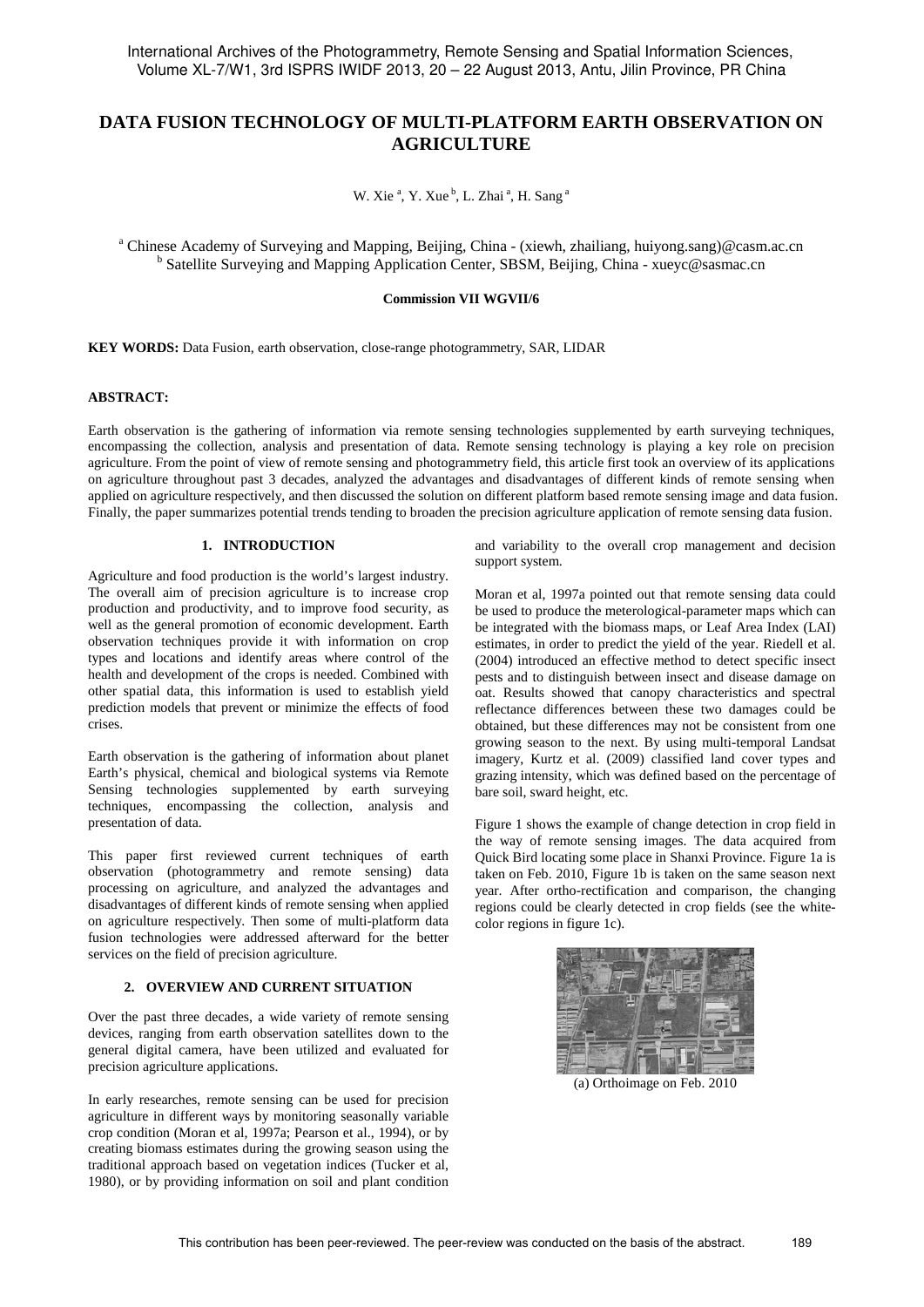# **DATA FUSION TECHNOLOGY OF MULTI-PLATFORM EARTH OBSERVATION ON AGRICULTURE**

W. Xie<sup>a</sup>, Y. Xue<sup>b</sup>, L. Zhai<sup>a</sup>, H. Sang<sup>a</sup>

<sup>a</sup> Chinese Academy of Surveying and Mapping, Beijing, China - (xiewh, zhailiang, huiyong.sang)@casm.ac.cn b Satellite Surveying and Mapping Application Center, SBSM, Beijing, China - xueyc@sasmac.cn

#### **Commission VII WGVII/6**

**KEY WORDS:** Data Fusion, earth observation, close-range photogrammetry, SAR, LIDAR

# **ABSTRACT:**

Earth observation is the gathering of information via remote sensing technologies supplemented by earth surveying techniques, encompassing the collection, analysis and presentation of data. Remote sensing technology is playing a key role on precision agriculture. From the point of view of remote sensing and photogrammetry field, this article first took an overview of its applications on agriculture throughout past 3 decades, analyzed the advantages and disadvantages of different kinds of remote sensing when applied on agriculture respectively, and then discussed the solution on different platform based remote sensing image and data fusion. Finally, the paper summarizes potential trends tending to broaden the precision agriculture application of remote sensing data fusion.

# **1. INTRODUCTION**

Agriculture and food production is the world's largest industry. The overall aim of precision agriculture is to increase crop production and productivity, and to improve food security, as well as the general promotion of economic development. Earth observation techniques provide it with information on crop types and locations and identify areas where control of the health and development of the crops is needed. Combined with other spatial data, this information is used to establish yield prediction models that prevent or minimize the effects of food crises.

Earth observation is the gathering of information about planet Earth's physical, chemical and biological systems via Remote Sensing technologies supplemented by earth surveying techniques, encompassing the collection, analysis and presentation of data.

This paper first reviewed current techniques of earth observation (photogrammetry and remote sensing) data processing on agriculture, and analyzed the advantages and disadvantages of different kinds of remote sensing when applied on agriculture respectively. Then some of multi-platform data fusion technologies were addressed afterward for the better services on the field of precision agriculture.

#### **2. OVERVIEW AND CURRENT SITUATION**

Over the past three decades, a wide variety of remote sensing devices, ranging from earth observation satellites down to the general digital camera, have been utilized and evaluated for precision agriculture applications.

In early researches, remote sensing can be used for precision agriculture in different ways by monitoring seasonally variable crop condition (Moran et al, 1997a; Pearson et al., 1994), or by creating biomass estimates during the growing season using the traditional approach based on vegetation indices (Tucker et al, 1980), or by providing information on soil and plant condition and variability to the overall crop management and decision support system.

Moran et al, 1997a pointed out that remote sensing data could be used to produce the meterological-parameter maps which can be integrated with the biomass maps, or Leaf Area Index (LAI) estimates, in order to predict the yield of the year. Riedell et al. (2004) introduced an effective method to detect specific insect pests and to distinguish between insect and disease damage on oat. Results showed that canopy characteristics and spectral reflectance differences between these two damages could be obtained, but these differences may not be consistent from one growing season to the next. By using multi-temporal Landsat imagery, Kurtz et al. (2009) classified land cover types and grazing intensity, which was defined based on the percentage of bare soil, sward height, etc.

Figure 1 shows the example of change detection in crop field in the way of remote sensing images. The data acquired from Quick Bird locating some place in Shanxi Province. Figure 1a is taken on Feb. 2010, Figure 1b is taken on the same season next year. After ortho-rectification and comparison, the changing regions could be clearly detected in crop fields (see the whitecolor regions in figure 1c).



(a) Orthoimage on Feb. 2010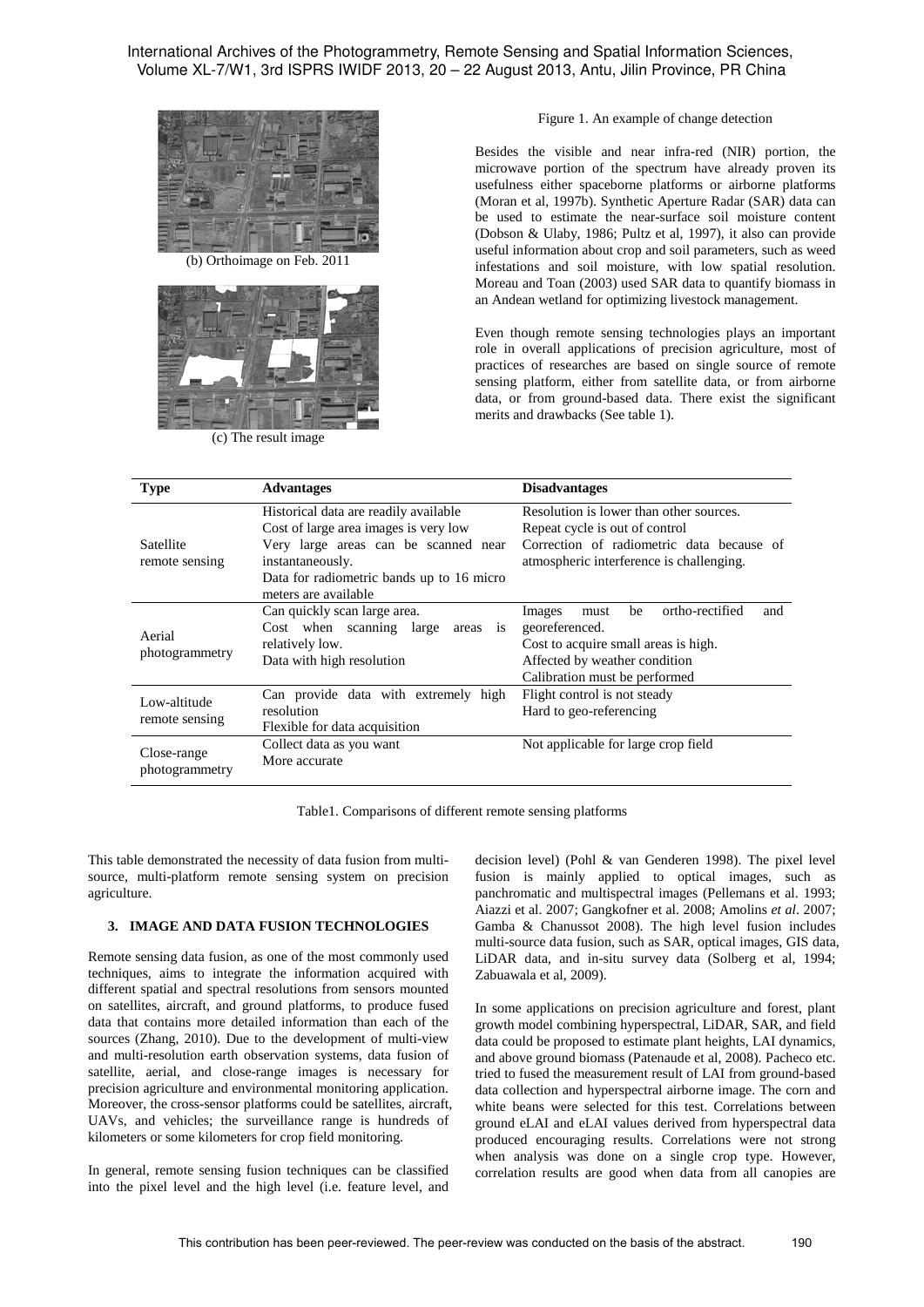International Archives of the Photogrammetry, Remote Sensing and Spatial Information Sciences, Volume XL-7/W1, 3rd ISPRS IWIDF 2013, 20 – 22 August 2013, Antu, Jilin Province, PR China



(b) Orthoimage on Feb. 2011



(c) The result image

Figure 1. An example of change detection

Besides the visible and near infra-red (NIR) portion, the microwave portion of the spectrum have already proven its usefulness either spaceborne platforms or airborne platforms (Moran et al, 1997b). Synthetic Aperture Radar (SAR) data can be used to estimate the near-surface soil moisture content (Dobson & Ulaby, 1986; Pultz et al, 1997), it also can provide useful information about crop and soil parameters, such as weed infestations and soil moisture, with low spatial resolution. Moreau and Toan (2003) used SAR data to quantify biomass in an Andean wetland for optimizing livestock management.

Even though remote sensing technologies plays an important role in overall applications of precision agriculture, most of practices of researches are based on single source of remote sensing platform, either from satellite data, or from airborne data, or from ground-based data. There exist the significant merits and drawbacks (See table 1).

| <b>Type</b>                    | <b>Advantages</b>                                                                                                                                                                                               | <b>Disadvantages</b>                                                                                                                                                       |
|--------------------------------|-----------------------------------------------------------------------------------------------------------------------------------------------------------------------------------------------------------------|----------------------------------------------------------------------------------------------------------------------------------------------------------------------------|
| Satellite<br>remote sensing    | Historical data are readily available<br>Cost of large area images is very low<br>Very large areas can be scanned near<br>instantaneously.<br>Data for radiometric bands up to 16 micro<br>meters are available | Resolution is lower than other sources.<br>Repeat cycle is out of control<br>Correction of radiometric data because of<br>atmospheric interference is challenging.         |
| Aerial<br>photogrammetry       | Can quickly scan large area.<br>Cost when scanning large areas is<br>relatively low.<br>Data with high resolution                                                                                               | ortho-rectified<br>be<br>Images<br>and<br>must<br>georeferenced.<br>Cost to acquire small areas is high.<br>Affected by weather condition<br>Calibration must be performed |
| Low-altitude<br>remote sensing | Can provide data with extremely high<br>resolution<br>Flexible for data acquisition                                                                                                                             | Flight control is not steady<br>Hard to geo-referencing                                                                                                                    |
| Close-range<br>photogrammetry  | Collect data as you want<br>More accurate                                                                                                                                                                       | Not applicable for large crop field                                                                                                                                        |

Table1. Comparisons of different remote sensing platforms

This table demonstrated the necessity of data fusion from multisource, multi-platform remote sensing system on precision agriculture.

#### **3. IMAGE AND DATA FUSION TECHNOLOGIES**

Remote sensing data fusion, as one of the most commonly used techniques, aims to integrate the information acquired with different spatial and spectral resolutions from sensors mounted on satellites, aircraft, and ground platforms, to produce fused data that contains more detailed information than each of the sources (Zhang, 2010). Due to the development of multi-view and multi-resolution earth observation systems, data fusion of satellite, aerial, and close-range images is necessary for precision agriculture and environmental monitoring application. Moreover, the cross-sensor platforms could be satellites, aircraft, UAVs, and vehicles; the surveillance range is hundreds of kilometers or some kilometers for crop field monitoring.

In general, remote sensing fusion techniques can be classified into the pixel level and the high level (i.e. feature level, and

decision level) (Pohl & van Genderen 1998). The pixel level fusion is mainly applied to optical images, such as panchromatic and multispectral images (Pellemans et al. 1993; Aiazzi et al. 2007; Gangkofner et al. 2008; Amolins *et al*. 2007; Gamba & Chanussot 2008). The high level fusion includes multi-source data fusion, such as SAR, optical images, GIS data, LiDAR data, and in-situ survey data (Solberg et al, 1994; Zabuawala et al, 2009).

In some applications on precision agriculture and forest, plant growth model combining hyperspectral, LiDAR, SAR, and field data could be proposed to estimate plant heights, LAI dynamics, and above ground biomass (Patenaude et al, 2008). Pacheco etc. tried to fused the measurement result of LAI from ground-based data collection and hyperspectral airborne image. The corn and white beans were selected for this test. Correlations between ground eLAI and eLAI values derived from hyperspectral data produced encouraging results. Correlations were not strong when analysis was done on a single crop type. However, correlation results are good when data from all canopies are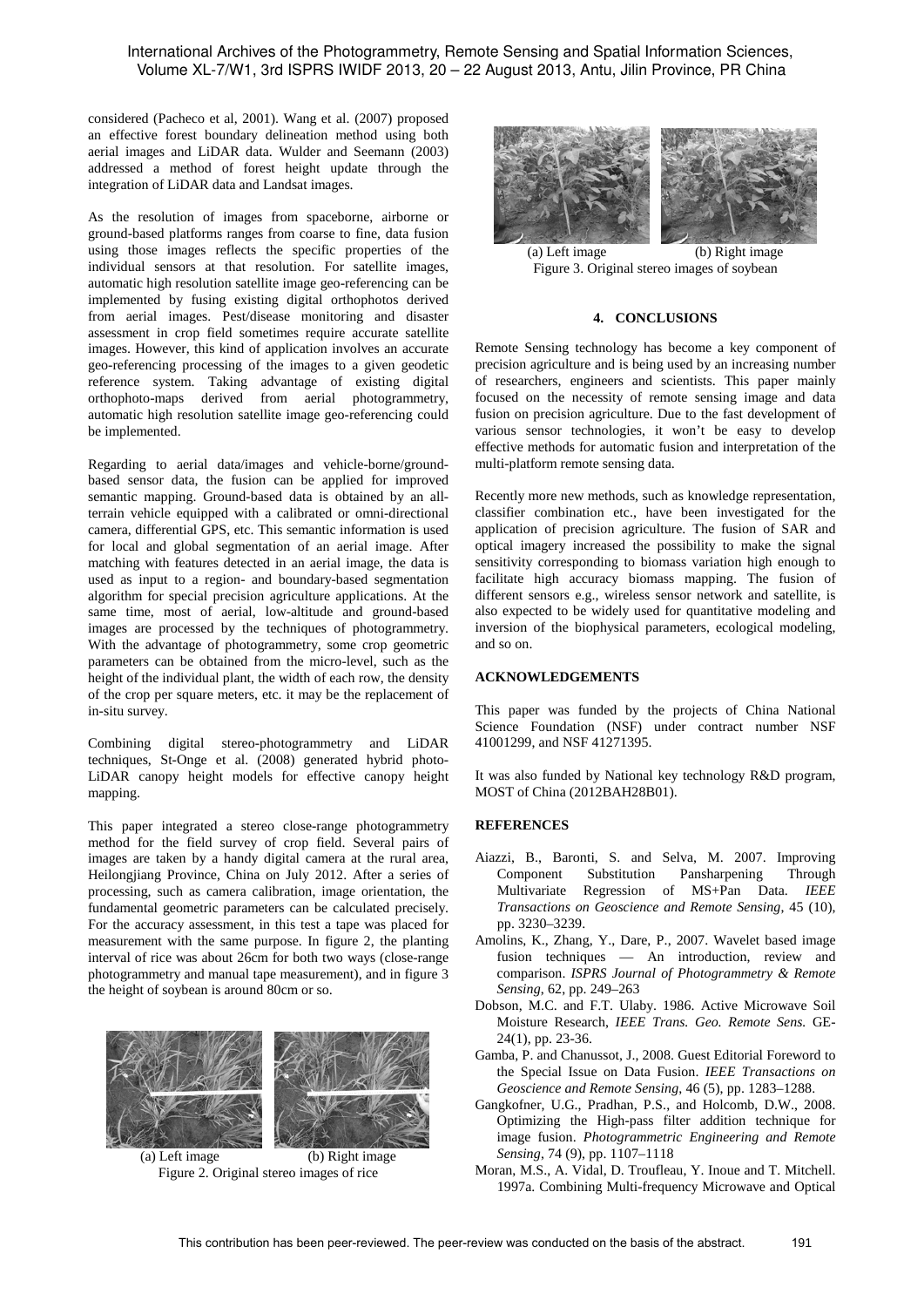considered (Pacheco et al, 2001). Wang et al. (2007) proposed an effective forest boundary delineation method using both aerial images and LiDAR data. Wulder and Seemann (2003) addressed a method of forest height update through the integration of LiDAR data and Landsat images.

As the resolution of images from spaceborne, airborne or ground-based platforms ranges from coarse to fine, data fusion using those images reflects the specific properties of the individual sensors at that resolution. For satellite images, automatic high resolution satellite image geo-referencing can be implemented by fusing existing digital orthophotos derived from aerial images. Pest/disease monitoring and disaster assessment in crop field sometimes require accurate satellite images. However, this kind of application involves an accurate geo-referencing processing of the images to a given geodetic reference system. Taking advantage of existing digital orthophoto-maps derived from aerial photogrammetry, automatic high resolution satellite image geo-referencing could be implemented.

Regarding to aerial data/images and vehicle-borne/groundbased sensor data, the fusion can be applied for improved semantic mapping. Ground-based data is obtained by an allterrain vehicle equipped with a calibrated or omni-directional camera, differential GPS, etc. This semantic information is used for local and global segmentation of an aerial image. After matching with features detected in an aerial image, the data is used as input to a region- and boundary-based segmentation algorithm for special precision agriculture applications. At the same time, most of aerial, low-altitude and ground-based images are processed by the techniques of photogrammetry. With the advantage of photogrammetry, some crop geometric parameters can be obtained from the micro-level, such as the height of the individual plant, the width of each row, the density of the crop per square meters, etc. it may be the replacement of in-situ survey.

Combining digital stereo-photogrammetry and LiDAR techniques, St-Onge et al. (2008) generated hybrid photo-LiDAR canopy height models for effective canopy height mapping.

This paper integrated a stereo close-range photogrammetry method for the field survey of crop field. Several pairs of images are taken by a handy digital camera at the rural area, Heilongjiang Province, China on July 2012. After a series of processing, such as camera calibration, image orientation, the fundamental geometric parameters can be calculated precisely. For the accuracy assessment, in this test a tape was placed for measurement with the same purpose. In figure 2, the planting interval of rice was about 26cm for both two ways (close-range photogrammetry and manual tape measurement), and in figure 3 the height of soybean is around 80cm or so.



(a) Left image (b) Right image Figure 2. Original stereo images of rice



(a) Left image (b) Right image Figure 3. Original stereo images of soybean

# **4. CONCLUSIONS**

Remote Sensing technology has become a key component of precision agriculture and is being used by an increasing number of researchers, engineers and scientists. This paper mainly focused on the necessity of remote sensing image and data fusion on precision agriculture. Due to the fast development of various sensor technologies, it won't be easy to develop effective methods for automatic fusion and interpretation of the multi-platform remote sensing data.

Recently more new methods, such as knowledge representation, classifier combination etc., have been investigated for the application of precision agriculture. The fusion of SAR and optical imagery increased the possibility to make the signal sensitivity corresponding to biomass variation high enough to facilitate high accuracy biomass mapping. The fusion of different sensors e.g., wireless sensor network and satellite, is also expected to be widely used for quantitative modeling and inversion of the biophysical parameters, ecological modeling, and so on.

# **ACKNOWLEDGEMENTS**

This paper was funded by the projects of China National Science Foundation (NSF) under contract number NSF 41001299, and NSF 41271395.

It was also funded by National key technology R&D program, MOST of China (2012BAH28B01).

# **REFERENCES**

- Aiazzi, B., Baronti, S. and Selva, M. 2007. Improving Component Substitution Pansharpening Through Multivariate Regression of MS+Pan Data. *IEEE Transactions on Geoscience and Remote Sensing*, 45 (10), pp. 3230–3239.
- Amolins, K., Zhang, Y., Dare, P., 2007. Wavelet based image fusion techniques — An introduction, review and comparison. *ISPRS Journal of Photogrammetry & Remote Sensing*, 62, pp. 249–263
- Dobson, M.C. and F.T. Ulaby. 1986. Active Microwave Soil Moisture Research, *IEEE Trans. Geo. Remote Sens.* GE-24(1), pp. 23-36.
- Gamba, P. and Chanussot, J., 2008. Guest Editorial Foreword to the Special Issue on Data Fusion. *IEEE Transactions on Geoscience and Remote Sensing*, 46 (5), pp. 1283–1288.
- Gangkofner, U.G., Pradhan, P.S., and Holcomb, D.W., 2008. Optimizing the High-pass filter addition technique for image fusion. *Photogrammetric Engineering and Remote Sensing*, 74 (9), pp. 1107–1118
- Moran, M.S., A. Vidal, D. Troufleau, Y. Inoue and T. Mitchell. 1997a. Combining Multi-frequency Microwave and Optical